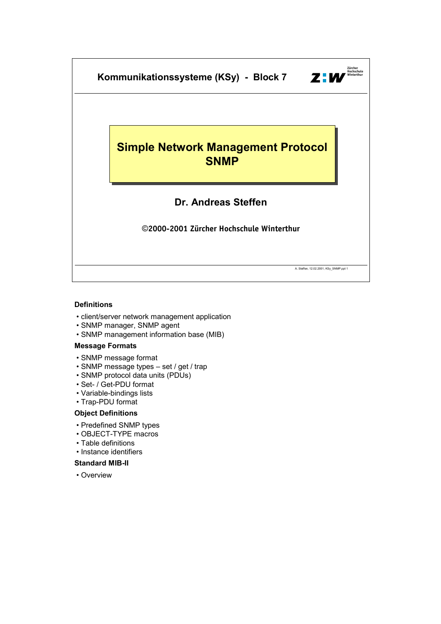

# **Definitions**

- client/server network management application
- SNMP manager, SNMP agent
- SNMP management information base (MIB)

# **Message Formats**

- SNMP message format
- SNMP message types set / get / trap
- SNMP protocol data units (PDUs)
- Set- / Get-PDU format
- Variable-bindings lists
- Trap-PDU format

# **Object Definitions**

- Predefined SNMP types
- OBJECT-TYPE macros
- Table definitions
- Instance identifiers

# **Standard MIB-II**

• Overview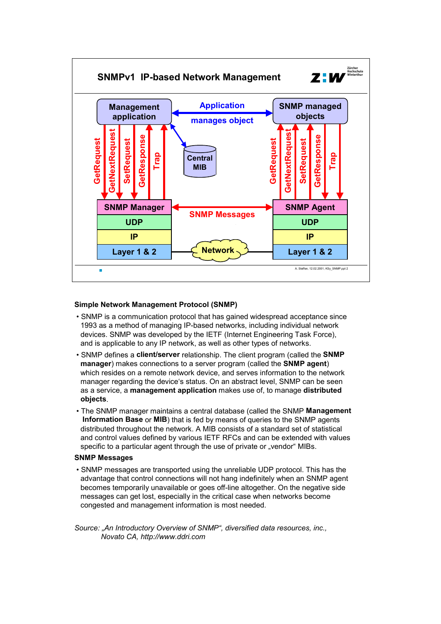

# **Simple Network Management Protocol (SNMP)**

- SNMP is a communication protocol that has gained widespread acceptance since 1993 as a method of managing IP-based networks, including individual network devices. SNMP was developed by the IETF (Internet Engineering Task Force), and is applicable to any IP network, as well as other types of networks.
- SNMP defines a **client/server** relationship. The client program (called the **SNMP manager**) makes connections to a server program (called the **SNMP agent**) which resides on a remote network device, and serves information to the network manager regarding the device's status. On an abstract level, SNMP can be seen as a service, a **management application** makes use of, to manage **distributed objects**.
- The SNMP manager maintains a central database (called the SNMP **Management Information Base** or **MIB**) that is fed by means of queries to the SNMP agents distributed throughout the network. A MIB consists of a standard set of statistical and control values defined by various IETF RFCs and can be extended with values specific to a particular agent through the use of private or "vendor" MIBs.

# **SNMP Messages**

• SNMP messages are transported using the unreliable UDP protocol. This has the advantage that control connections will not hang indefinitely when an SNMP agent becomes temporarily unavailable or goes off-line altogether. On the negative side messages can get lost, especially in the critical case when networks become congested and management information is most needed.

*Source: "An Introductory Overview of SNMP", diversified data resources, inc., Novato CA, http://www.ddri.com*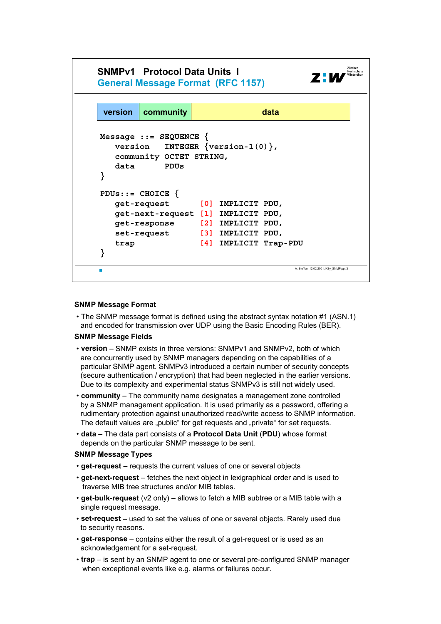

#### **SNMP Message Format**

• The SNMP message format is defined using the abstract syntax notation #1 (ASN.1) and encoded for transmission over UDP using the Basic Encoding Rules (BER).

#### **SNMP Message Fields**

- **version** SNMP exists in three versions: SNMPv1 and SNMPv2, both of which are concurrently used by SNMP managers depending on the capabilities of a particular SNMP agent. SNMPv3 introduced a certain number of security concepts (secure authentication / encryption) that had been neglected in the earlier versions. Due to its complexity and experimental status SNMPv3 is still not widely used.
- **community** The community name designates a management zone controlled by a SNMP management application. It is used primarily as a password, offering a rudimentary protection against unauthorized read/write access to SNMP information. The default values are "public" for get requests and "private" for set requests.
- **data** The data part consists of a **Protocol Data Unit** (**PDU**) whose format depends on the particular SNMP message to be sent.

#### **SNMP Message Types**

- **get-request** requests the current values of one or several objects
- **get-next-request** fetches the next object in lexigraphical order and is used to traverse MIB tree structures and/or MIB tables.
- **get-bulk-request** (v2 only) allows to fetch a MIB subtree or a MIB table with a single request message.
- **set-request** used to set the values of one or several objects. Rarely used due to security reasons.
- **get-response** contains either the result of a get-request or is used as an acknowledgement for a set-request.
- **trap** is sent by an SNMP agent to one or several pre-configured SNMP manager when exceptional events like e.g. alarms or failures occur.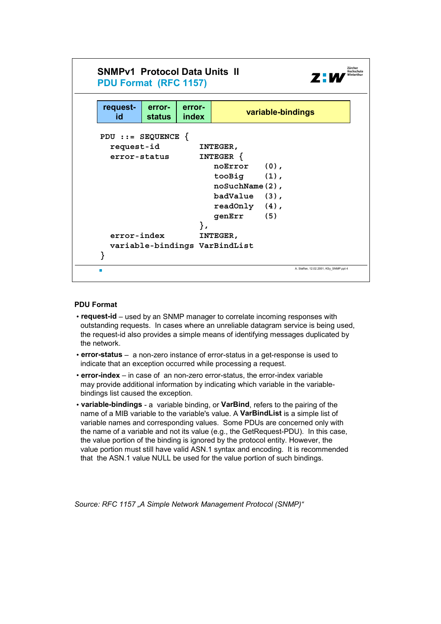

# **PDU Format**

- **request-id** used by an SNMP manager to correlate incoming responses with outstanding requests. In cases where an unreliable datagram service is being used, the request-id also provides a simple means of identifying messages duplicated by the network.
- **error-status** a non-zero instance of error-status in a get-response is used to indicate that an exception occurred while processing a request.
- **error-index** in case of an non-zero error-status, the error-index variable may provide additional information by indicating which variable in the variablebindings list caused the exception.
- **variable-bindings** a variable binding, or **VarBind**, refers to the pairing of the name of a MIB variable to the variable's value. A **VarBindList** is a simple list of variable names and corresponding values. Some PDUs are concerned only with the name of a variable and not its value (e.g., the GetRequest-PDU). In this case, the value portion of the binding is ignored by the protocol entity. However, the value portion must still have valid ASN.1 syntax and encoding. It is recommended that the ASN.1 value NULL be used for the value portion of such bindings.

*Source: RFC 1157 "A Simple Network Management Protocol (SNMP)"*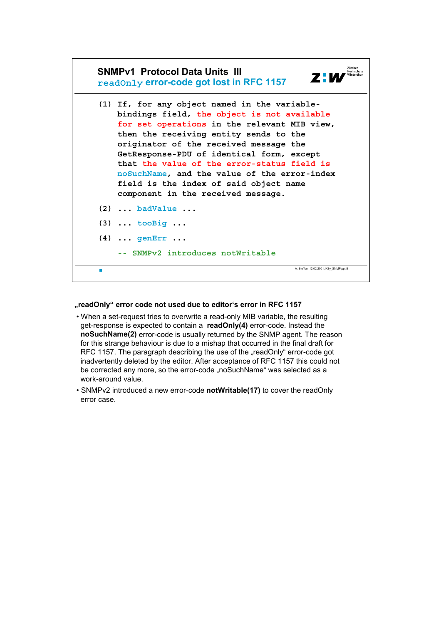

#### **"readOnly" error code not used due to editor's error in RFC 1157**

- When a set-request tries to overwrite a read-only MIB variable, the resulting get-response is expected to contain a **readOnly(4)** error-code. Instead the **noSuchName(2)** error-code is usually returned by the SNMP agent. The reason for this strange behaviour is due to a mishap that occurred in the final draft for RFC 1157. The paragraph describing the use of the "readOnly" error-code got inadvertently deleted by the editor. After acceptance of RFC 1157 this could not be corrected any more, so the error-code "noSuchName" was selected as a work-around value.
- SNMPv2 introduced a new error-code **notWritable(17)** to cover the readOnly error case.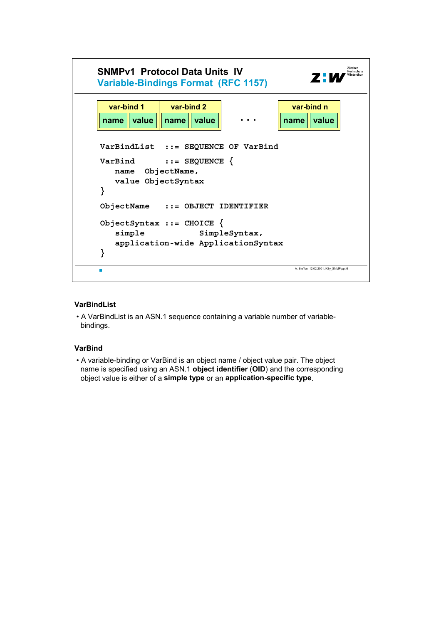

# **VarBindList**

• A VarBindList is an ASN.1 sequence containing a variable number of variablebindings.

# **VarBind**

• A variable-binding or VarBind is an object name / object value pair. The object name is specified using an ASN.1 **object identifier** (**OID**) and the corresponding object value is either of a **simple type** or an **application-specific type**.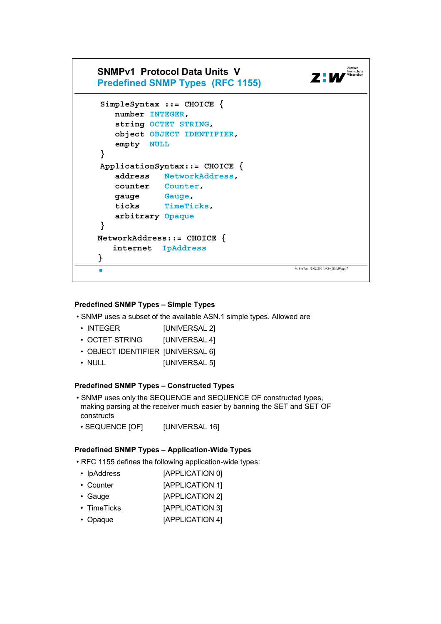

# **Predefined SNMP Types – Simple Types**

- SNMP uses a subset of the available ASN.1 simple types. Allowed are
	- INTEGER [UNIVERSAL 2]
	- OCTET STRING [UNIVERSAL 4]
	- OBJECT IDENTIFIER [UNIVERSAL 6]
	- NULL **[UNIVERSAL 5]**

# **Predefined SNMP Types – Constructed Types**

- SNMP uses only the SEQUENCE and SEQUENCE OF constructed types, making parsing at the receiver much easier by banning the SET and SET OF constructs
- SEQUENCE [OF] [UNIVERSAL 16]

# **Predefined SNMP Types – Application-Wide Types**

- RFC 1155 defines the following application-wide types:
	- IpAddress [APPLICATION 0]
- Counter [APPLICATION 1]
- Gauge [APPLICATION 2]
- TimeTicks [APPLICATION 3]
- Opaque [APPLICATION 4]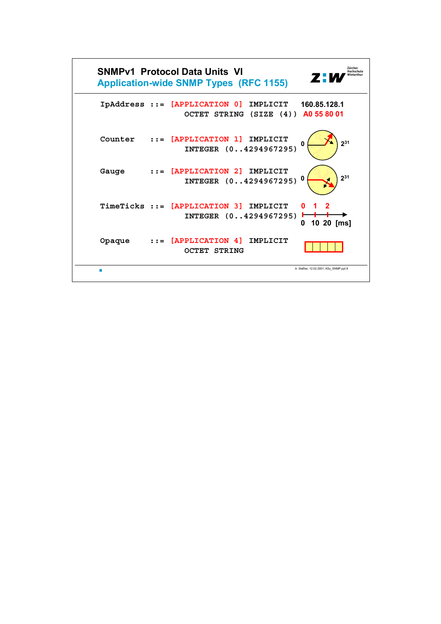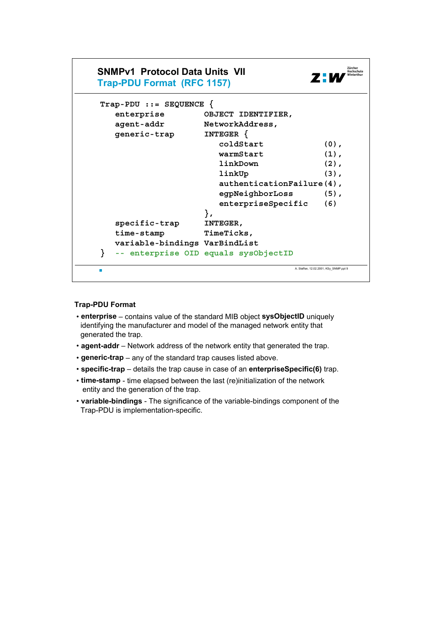

# **Trap-PDU Format**

- **enterprise** contains value of the standard MIB object **sysObjectID** uniquely identifying the manufacturer and model of the managed network entity that generated the trap.
- **agent-addr** Network address of the network entity that generated the trap.
- **generic-trap** any of the standard trap causes listed above.
- **specific-trap** details the trap cause in case of an **enterpriseSpecific(6)** trap.
- **time-stamp** time elapsed between the last (re)initialization of the network entity and the generation of the trap.
- **variable-bindings** The significance of the variable-bindings component of the Trap-PDU is implementation-specific.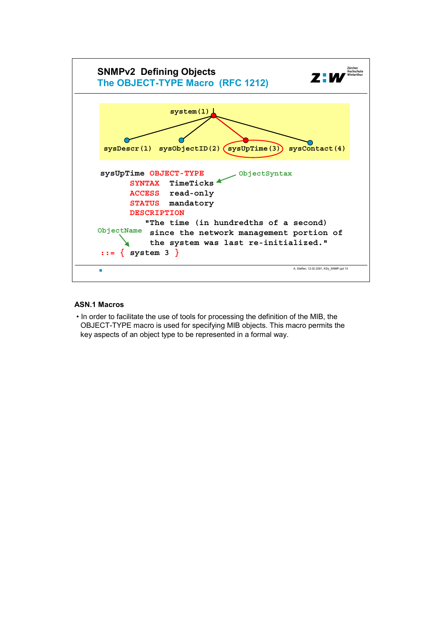

# **ASN.1 Macros**

• In order to facilitate the use of tools for processing the definition of the MIB, the OBJECT-TYPE macro is used for specifying MIB objects. This macro permits the key aspects of an object type to be represented in a formal way.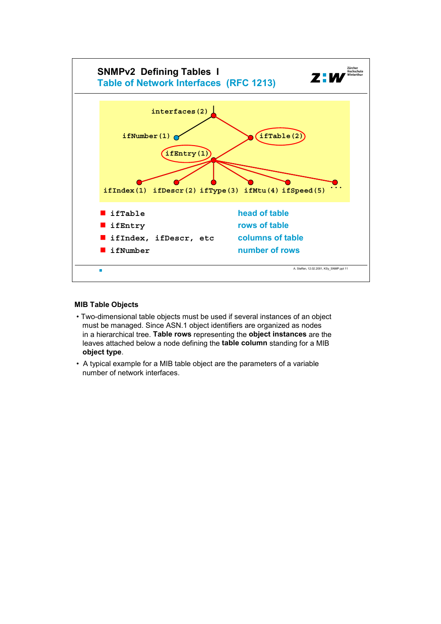

#### **MIB Table Objects**

- Two-dimensional table objects must be used if several instances of an object must be managed. Since ASN.1 object identifiers are organized as nodes in a hierarchical tree. **Table rows** representing the **object instances** are the leaves attached below a node defining the **table column** standing for a MIB **object type**.
- A typical example for a MIB table object are the parameters of a variable number of network interfaces.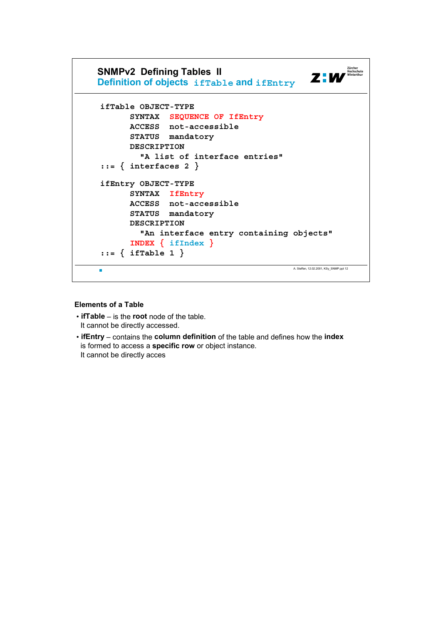

# **Elements of a Table**

- **ifTable** is the **root** node of the table. It cannot be directly accessed.
- **ifEntry** contains the **column definition** of the table and defines how the **index** is formed to access a **specific row** or object instance. It cannot be directly acces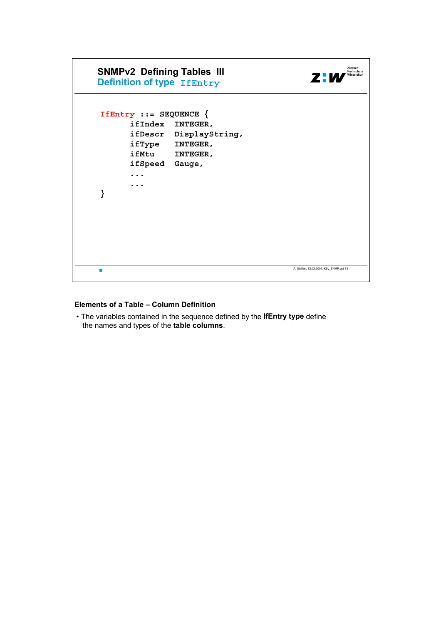

# **Elements of a Table – Column Definition**

• The variables contained in the sequence defined by the **IfEntry type** define the names and types of the **table columns**.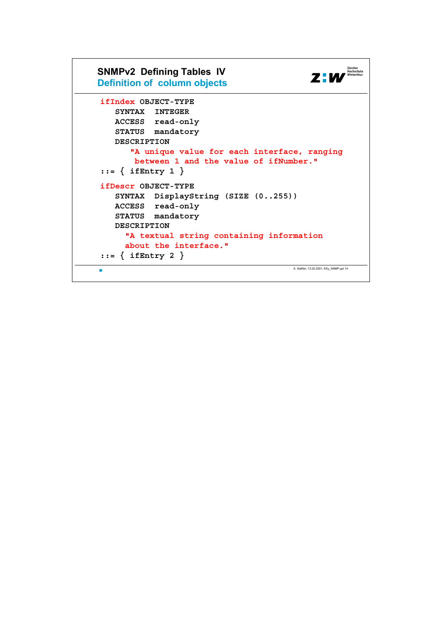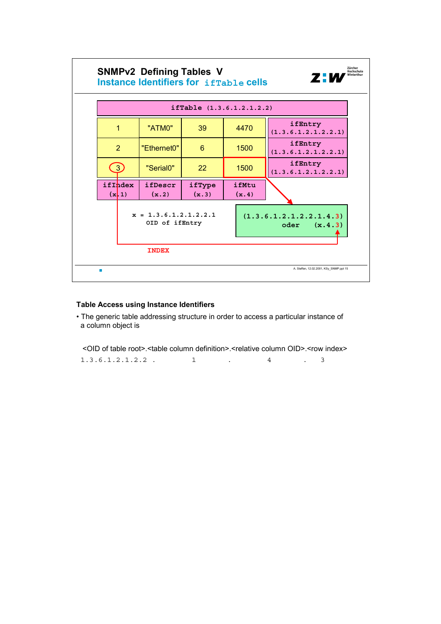

# **Table Access using Instance Identifiers**

• The generic table addressing structure in order to access a particular instance of a column object is

| <oid of="" root="" table="">.<table column="" definition="">.<relative column="" oid="">.<row index=""></row></relative></table></oid> |  |                      |  |
|----------------------------------------------------------------------------------------------------------------------------------------|--|----------------------|--|
| $1.3.6.1.2.1.2.2$ .                                                                                                                    |  | $\sim$ $\sim$ $\sim$ |  |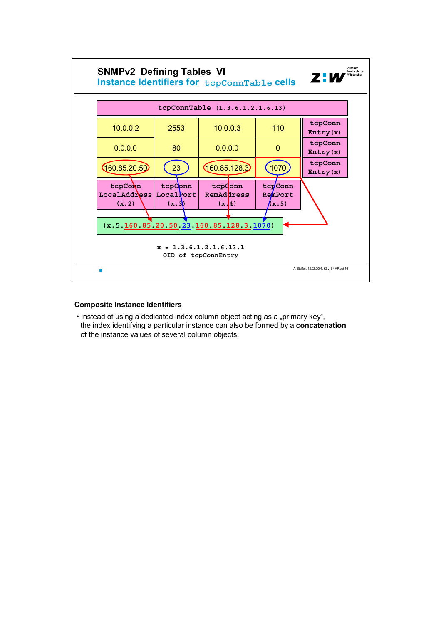

# **Composite Instance Identifiers**

• Instead of using a dedicated index column object acting as a "primary key", the index identifying a particular instance can also be formed by a **concatenation** of the instance values of several column objects.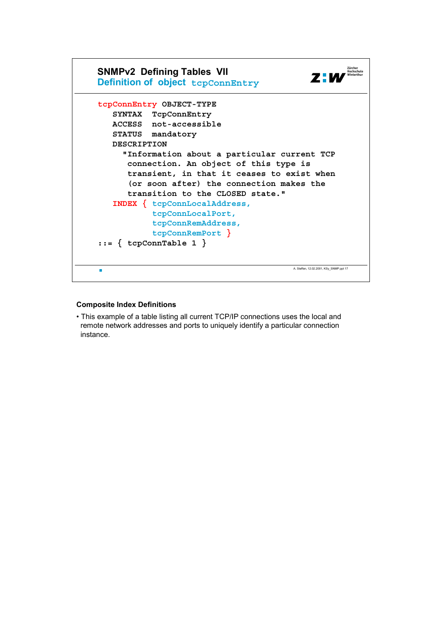

#### **Composite Index Definitions**

• This example of a table listing all current TCP/IP connections uses the local and remote network addresses and ports to uniquely identify a particular connection instance.